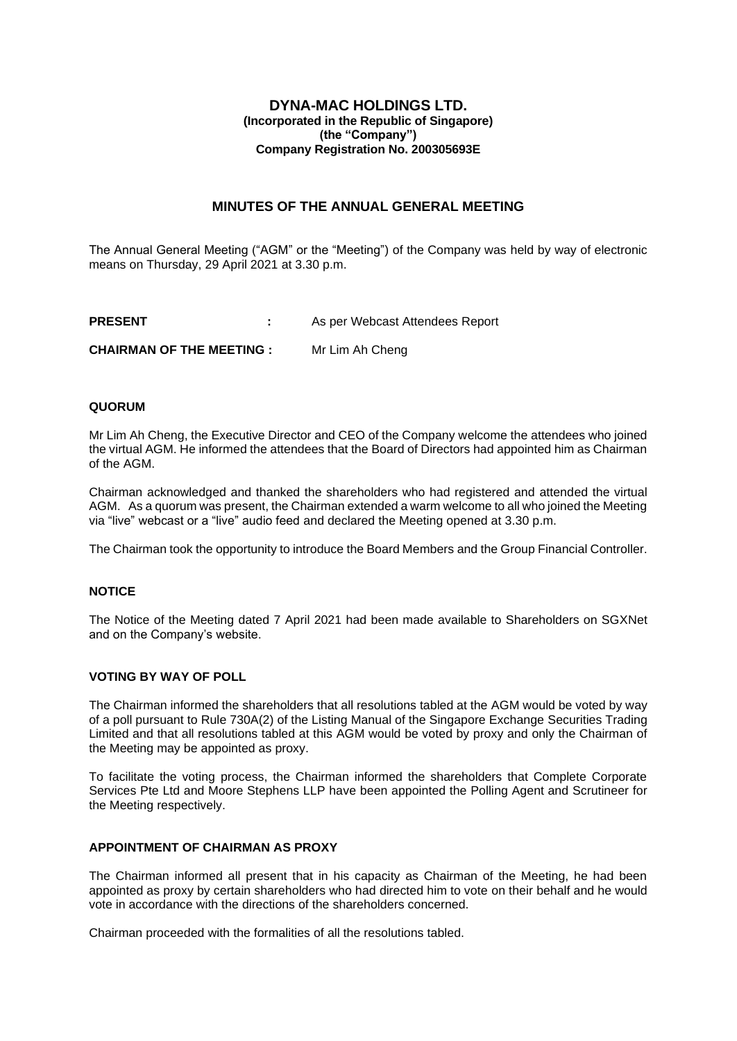## **DYNA-MAC HOLDINGS LTD. (Incorporated in the Republic of Singapore) (the "Company") Company Registration No. 200305693E**

# **MINUTES OF THE ANNUAL GENERAL MEETING**

The Annual General Meeting ("AGM" or the "Meeting") of the Company was held by way of electronic means on Thursday, 29 April 2021 at 3.30 p.m.

**PRESENT :** As per Webcast Attendees Report **CHAIRMAN OF THE MEETING :** Mr Lim Ah Cheng

### **QUORUM**

Mr Lim Ah Cheng, the Executive Director and CEO of the Company welcome the attendees who joined the virtual AGM. He informed the attendees that the Board of Directors had appointed him as Chairman of the AGM.

Chairman acknowledged and thanked the shareholders who had registered and attended the virtual AGM. As a quorum was present, the Chairman extended a warm welcome to all who joined the Meeting via "live" webcast or a "live" audio feed and declared the Meeting opened at 3.30 p.m.

The Chairman took the opportunity to introduce the Board Members and the Group Financial Controller.

# **NOTICE**

The Notice of the Meeting dated 7 April 2021 had been made available to Shareholders on SGXNet and on the Company's website.

### **VOTING BY WAY OF POLL**

The Chairman informed the shareholders that all resolutions tabled at the AGM would be voted by way of a poll pursuant to Rule 730A(2) of the Listing Manual of the Singapore Exchange Securities Trading Limited and that all resolutions tabled at this AGM would be voted by proxy and only the Chairman of the Meeting may be appointed as proxy.

To facilitate the voting process, the Chairman informed the shareholders that Complete Corporate Services Pte Ltd and Moore Stephens LLP have been appointed the Polling Agent and Scrutineer for the Meeting respectively.

## **APPOINTMENT OF CHAIRMAN AS PROXY**

The Chairman informed all present that in his capacity as Chairman of the Meeting, he had been appointed as proxy by certain shareholders who had directed him to vote on their behalf and he would vote in accordance with the directions of the shareholders concerned.

Chairman proceeded with the formalities of all the resolutions tabled.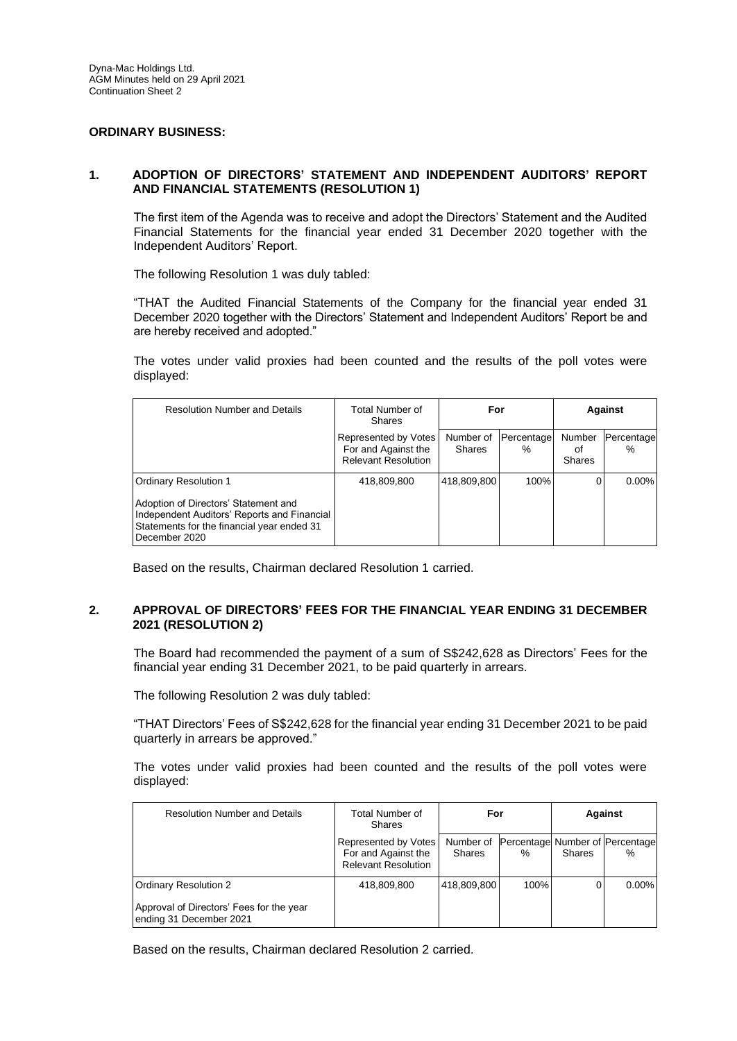### **ORDINARY BUSINESS:**

## **1. ADOPTION OF DIRECTORS' STATEMENT AND INDEPENDENT AUDITORS' REPORT AND FINANCIAL STATEMENTS (RESOLUTION 1)**

The first item of the Agenda was to receive and adopt the Directors' Statement and the Audited Financial Statements for the financial year ended 31 December 2020 together with the Independent Auditors' Report.

The following Resolution 1 was duly tabled:

"THAT the Audited Financial Statements of the Company for the financial year ended 31 December 2020 together with the Directors' Statement and Independent Auditors' Report be and are hereby received and adopted."

The votes under valid proxies had been counted and the results of the poll votes were displayed:

| <b>Resolution Number and Details</b>                                                                                                               | Total Number of<br><b>Shares</b>                                          | For                 |                    | <b>Against</b>         |                    |
|----------------------------------------------------------------------------------------------------------------------------------------------------|---------------------------------------------------------------------------|---------------------|--------------------|------------------------|--------------------|
|                                                                                                                                                    | Represented by Votes<br>For and Against the<br><b>Relevant Resolution</b> | Number of<br>Shares | Percentage<br>$\%$ | Number<br>οf<br>Shares | Percentage<br>$\%$ |
| Ordinary Resolution 1                                                                                                                              | 418,809,800                                                               | 418.809.800         | 100%               |                        | $0.00\%$           |
| Adoption of Directors' Statement and<br>Independent Auditors' Reports and Financial<br>Statements for the financial year ended 31<br>December 2020 |                                                                           |                     |                    |                        |                    |

Based on the results, Chairman declared Resolution 1 carried.

### **2. APPROVAL OF DIRECTORS' FEES FOR THE FINANCIAL YEAR ENDING 31 DECEMBER 2021 (RESOLUTION 2)**

The Board had recommended the payment of a sum of S\$242,628 as Directors' Fees for the financial year ending 31 December 2021, to be paid quarterly in arrears.

The following Resolution 2 was duly tabled:

"THAT Directors' Fees of S\$242,628 for the financial year ending 31 December 2021 to be paid quarterly in arrears be approved."

The votes under valid proxies had been counted and the results of the poll votes were displayed:

| <b>Resolution Number and Details</b>                                                         | Total Number of<br><b>Shares</b>                                          | For                        |      | Against       |                                         |
|----------------------------------------------------------------------------------------------|---------------------------------------------------------------------------|----------------------------|------|---------------|-----------------------------------------|
|                                                                                              | Represented by Votes<br>For and Against the<br><b>Relevant Resolution</b> | Number of<br><b>Shares</b> | $\%$ | <b>Shares</b> | Percentage Number of Percentage<br>$\%$ |
| Ordinary Resolution 2<br>Approval of Directors' Fees for the year<br>ending 31 December 2021 | 418,809,800                                                               | 418,809,800                | 100% | 0             | $0.00\%$                                |

Based on the results, Chairman declared Resolution 2 carried.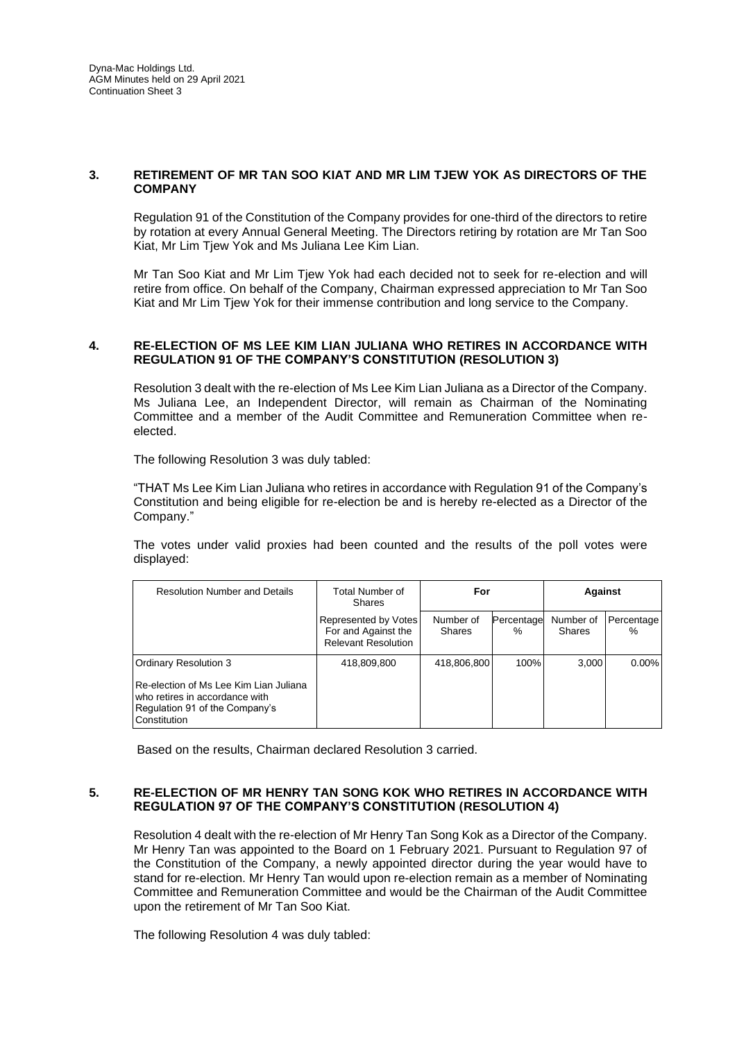## **3. RETIREMENT OF MR TAN SOO KIAT AND MR LIM TJEW YOK AS DIRECTORS OF THE COMPANY**

Regulation 91 of the Constitution of the Company provides for one-third of the directors to retire by rotation at every Annual General Meeting. The Directors retiring by rotation are Mr Tan Soo Kiat, Mr Lim Tjew Yok and Ms Juliana Lee Kim Lian.

Mr Tan Soo Kiat and Mr Lim Tjew Yok had each decided not to seek for re-election and will retire from office. On behalf of the Company, Chairman expressed appreciation to Mr Tan Soo Kiat and Mr Lim Tjew Yok for their immense contribution and long service to the Company.

### **4. RE-ELECTION OF MS LEE KIM LIAN JULIANA WHO RETIRES IN ACCORDANCE WITH REGULATION 91 OF THE COMPANY'S CONSTITUTION (RESOLUTION 3)**

Resolution 3 dealt with the re-election of Ms Lee Kim Lian Juliana as a Director of the Company. Ms Juliana Lee, an Independent Director, will remain as Chairman of the Nominating Committee and a member of the Audit Committee and Remuneration Committee when reelected.

The following Resolution 3 was duly tabled:

"THAT Ms Lee Kim Lian Juliana who retires in accordance with Regulation 91 of the Company's Constitution and being eligible for re-election be and is hereby re-elected as a Director of the Company."

The votes under valid proxies had been counted and the results of the poll votes were displayed:

| <b>Resolution Number and Details</b>                                                                                       | Total Number of<br><b>Shares</b>                                          | For                        |                    | <b>Against</b>             |                      |
|----------------------------------------------------------------------------------------------------------------------------|---------------------------------------------------------------------------|----------------------------|--------------------|----------------------------|----------------------|
|                                                                                                                            | Represented by Votes<br>For and Against the<br><b>Relevant Resolution</b> | Number of<br><b>Shares</b> | Percentage<br>$\%$ | Number of<br><b>Shares</b> | Percentage I<br>$\%$ |
| <b>Ordinary Resolution 3</b>                                                                                               | 418,809,800                                                               | 418,806,800                | 100%               | 3.000                      | $0.00\%$             |
| Re-election of Ms Lee Kim Lian Juliana<br>who retires in accordance with<br>Regulation 91 of the Company's<br>Constitution |                                                                           |                            |                    |                            |                      |

Based on the results, Chairman declared Resolution 3 carried.

### **5. RE-ELECTION OF MR HENRY TAN SONG KOK WHO RETIRES IN ACCORDANCE WITH REGULATION 97 OF THE COMPANY'S CONSTITUTION (RESOLUTION 4)**

Resolution 4 dealt with the re-election of Mr Henry Tan Song Kok as a Director of the Company. Mr Henry Tan was appointed to the Board on 1 February 2021. Pursuant to Regulation 97 of the Constitution of the Company, a newly appointed director during the year would have to stand for re-election. Mr Henry Tan would upon re-election remain as a member of Nominating Committee and Remuneration Committee and would be the Chairman of the Audit Committee upon the retirement of Mr Tan Soo Kiat.

The following Resolution 4 was duly tabled: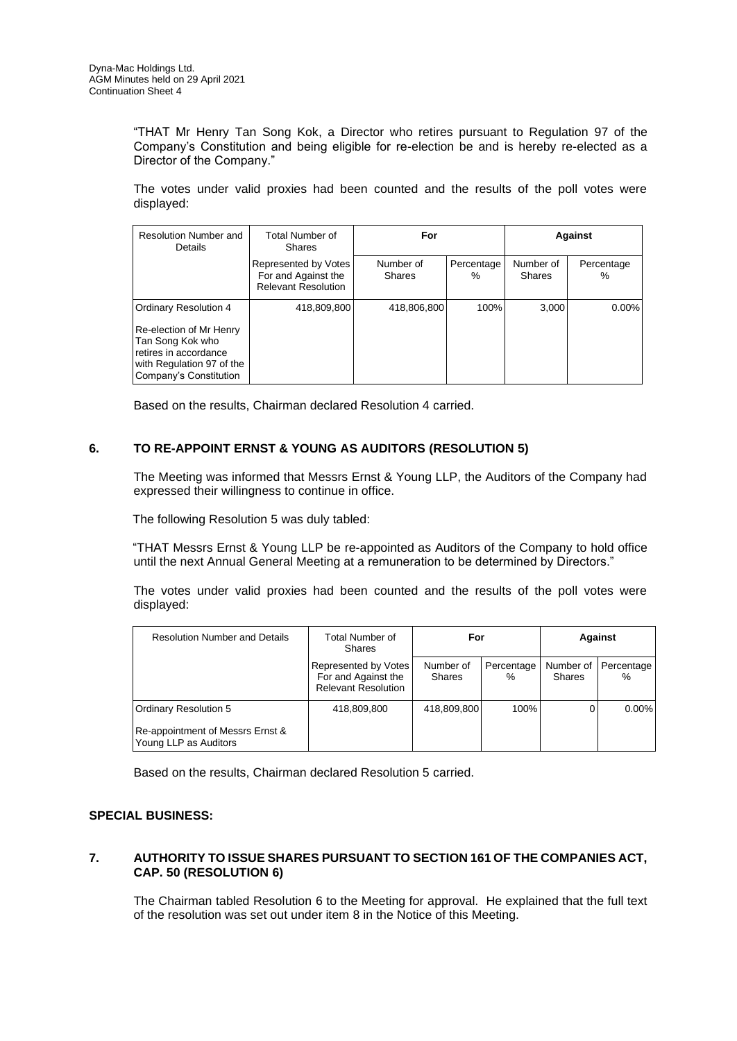"THAT Mr Henry Tan Song Kok, a Director who retires pursuant to Regulation 97 of the Company's Constitution and being eligible for re-election be and is hereby re-elected as a Director of the Company."

The votes under valid proxies had been counted and the results of the poll votes were displayed:

| Resolution Number and<br><b>Details</b>                                                                                     | Total Number of<br><b>Shares</b>                                          | For                        |                    | Against                    |                 |
|-----------------------------------------------------------------------------------------------------------------------------|---------------------------------------------------------------------------|----------------------------|--------------------|----------------------------|-----------------|
|                                                                                                                             | Represented by Votes<br>For and Against the<br><b>Relevant Resolution</b> | Number of<br><b>Shares</b> | Percentage<br>$\%$ | Number of<br><b>Shares</b> | Percentage<br>℅ |
| Ordinary Resolution 4                                                                                                       | 418,809,800                                                               | 418,806,800                | 100%               | 3,000                      | $0.00\%$        |
| Re-election of Mr Henry<br>Tan Song Kok who<br>retires in accordance<br>with Regulation 97 of the<br>Company's Constitution |                                                                           |                            |                    |                            |                 |

Based on the results, Chairman declared Resolution 4 carried.

## **6. TO RE-APPOINT ERNST & YOUNG AS AUDITORS (RESOLUTION 5)**

The Meeting was informed that Messrs Ernst & Young LLP, the Auditors of the Company had expressed their willingness to continue in office.

The following Resolution 5 was duly tabled:

"THAT Messrs Ernst & Young LLP be re-appointed as Auditors of the Company to hold office until the next Annual General Meeting at a remuneration to be determined by Directors."

The votes under valid proxies had been counted and the results of the poll votes were displayed:

| <b>Resolution Number and Details</b>                      | Total Number of<br><b>Shares</b>                                          | For                 |                    | Against                    |                    |
|-----------------------------------------------------------|---------------------------------------------------------------------------|---------------------|--------------------|----------------------------|--------------------|
|                                                           | Represented by Votes<br>For and Against the<br><b>Relevant Resolution</b> | Number of<br>Shares | Percentage<br>$\%$ | Number of<br><b>Shares</b> | Percentage<br>$\%$ |
| Ordinary Resolution 5                                     | 418,809,800                                                               | 418,809,800         | 100%               |                            | $0.00\%$           |
| Re-appointment of Messrs Ernst &<br>Young LLP as Auditors |                                                                           |                     |                    |                            |                    |

Based on the results, Chairman declared Resolution 5 carried.

## **SPECIAL BUSINESS:**

## **7. AUTHORITY TO ISSUE SHARES PURSUANT TO SECTION 161 OF THE COMPANIES ACT, CAP. 50 (RESOLUTION 6)**

The Chairman tabled Resolution 6 to the Meeting for approval. He explained that the full text of the resolution was set out under item 8 in the Notice of this Meeting.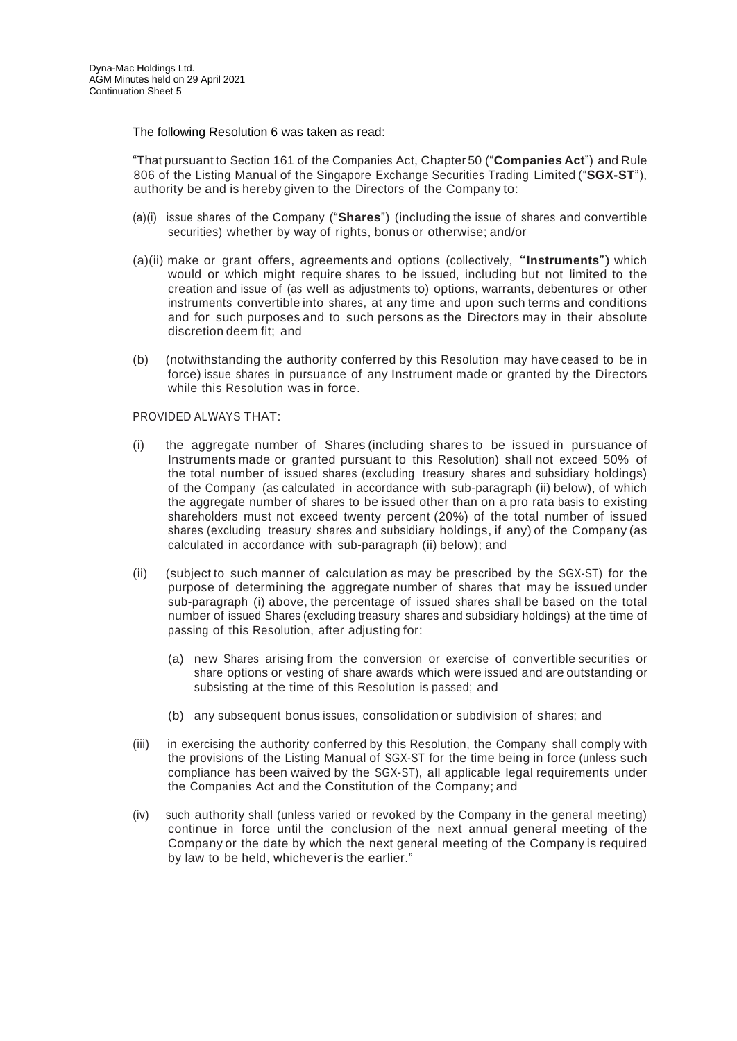The following Resolution 6 was taken as read:

"That pursuant to Section 161 of the Companies Act, Chapter 50 ("**Companies Act**") and Rule 806 of the Listing Manual of the Singapore Exchange Securities Trading Limited ("**SGX-ST**"), authority be and is hereby given to the Directors of the Company to:

- (a)(i) issue shares of the Company ("**Shares**") (including the issue of shares and convertible securities) whether by way of rights, bonus or otherwise; and/or
- (a)(ii) make or grant offers, agreements and options (collectively, "**Instruments**") which would or which might require shares to be issued, including but not limited to the creation and issue of (as well as adjustments to) options, warrants, debentures or other instruments convertible into shares, at any time and upon such terms and conditions and for such purposes and to such persons as the Directors may in their absolute discretion deem fit; and
- (b) (notwithstanding the authority conferred by this Resolution may have ceased to be in force) issue shares in pursuance of any Instrument made or granted by the Directors while this Resolution was in force.

### PROVIDED ALWAYS THAT:

- (i) the aggregate number of Shares (including shares to be issued in pursuance of Instruments made or granted pursuant to this Resolution) shall not exceed 50% of the total number of issued shares (excluding treasury shares and subsidiary holdings) of the Company (as calculated in accordance with sub-paragraph (ii) below), of which the aggregate number of shares to be issued other than on a pro rata basis to existing shareholders must not exceed twenty percent (20%) of the total number of issued shares (excluding treasury shares and subsidiary holdings, if any) of the Company (as calculated in accordance with sub-paragraph (ii) below); and
- (ii) (subject to such manner of calculation as may be prescribed by the SGX-ST) for the purpose of determining the aggregate number of shares that may be issued under sub-paragraph (i) above, the percentage of issued shares shall be based on the total number of issued Shares (excluding treasury shares and subsidiary holdings) at the time of passing of this Resolution, after adjusting for:
	- (a) new Shares arising from the conversion or exercise of convertible securities or share options or vesting of share awards which were issued and are outstanding or subsisting at the time of this Resolution is passed; and
	- (b) any subsequent bonus issues, consolidation or subdivision of s hares; and
- (iii) in exercising the authority conferred by this Resolution, the Company shall comply with the provisions of the Listing Manual of SGX-ST for the time being in force (unless such compliance has been waived by the SGX-ST), all applicable legal requirements under the Companies Act and the Constitution of the Company; and
- (iv) such authority shall (unless varied or revoked by the Company in the general meeting) continue in force until the conclusion of the next annual general meeting of the Company or the date by which the next general meeting of the Company is required by law to be held, whichever is the earlier."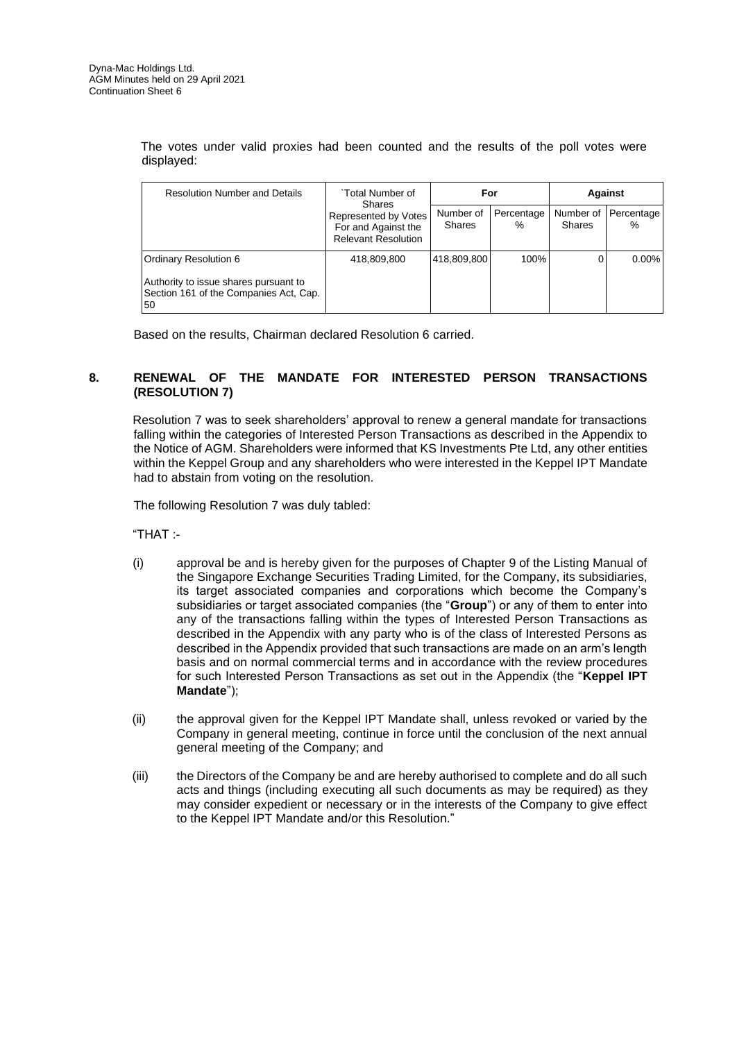The votes under valid proxies had been counted and the results of the poll votes were displayed:

| <b>Resolution Number and Details</b>                                                  | `Total Number of<br><b>Shares</b><br>Represented by Votes<br>For and Against the<br><b>Relevant Resolution</b> | For                        |                    | Against                    |                 |
|---------------------------------------------------------------------------------------|----------------------------------------------------------------------------------------------------------------|----------------------------|--------------------|----------------------------|-----------------|
|                                                                                       |                                                                                                                | Number of<br><b>Shares</b> | Percentage<br>$\%$ | Number of<br><b>Shares</b> | Percentage<br>% |
| Ordinary Resolution 6                                                                 | 418,809,800                                                                                                    | 418,809,800                | 100%               | 0                          | $0.00\%$        |
| Authority to issue shares pursuant to<br>Section 161 of the Companies Act, Cap.<br>50 |                                                                                                                |                            |                    |                            |                 |

Based on the results, Chairman declared Resolution 6 carried.

# **8. RENEWAL OF THE MANDATE FOR INTERESTED PERSON TRANSACTIONS (RESOLUTION 7)**

Resolution 7 was to seek shareholders' approval to renew a general mandate for transactions falling within the categories of Interested Person Transactions as described in the Appendix to the Notice of AGM. Shareholders were informed that KS Investments Pte Ltd, any other entities within the Keppel Group and any shareholders who were interested in the Keppel IPT Mandate had to abstain from voting on the resolution.

The following Resolution 7 was duly tabled:

"THAT :-

- (i) approval be and is hereby given for the purposes of Chapter 9 of the Listing Manual of the Singapore Exchange Securities Trading Limited, for the Company, its subsidiaries, its target associated companies and corporations which become the Company's subsidiaries or target associated companies (the "**Group**") or any of them to enter into any of the transactions falling within the types of Interested Person Transactions as described in the Appendix with any party who is of the class of Interested Persons as described in the Appendix provided that such transactions are made on an arm's length basis and on normal commercial terms and in accordance with the review procedures for such Interested Person Transactions as set out in the Appendix (the "**Keppel IPT Mandate**");
- (ii) the approval given for the Keppel IPT Mandate shall, unless revoked or varied by the Company in general meeting, continue in force until the conclusion of the next annual general meeting of the Company; and
- (iii) the Directors of the Company be and are hereby authorised to complete and do all such acts and things (including executing all such documents as may be required) as they may consider expedient or necessary or in the interests of the Company to give effect to the Keppel IPT Mandate and/or this Resolution."